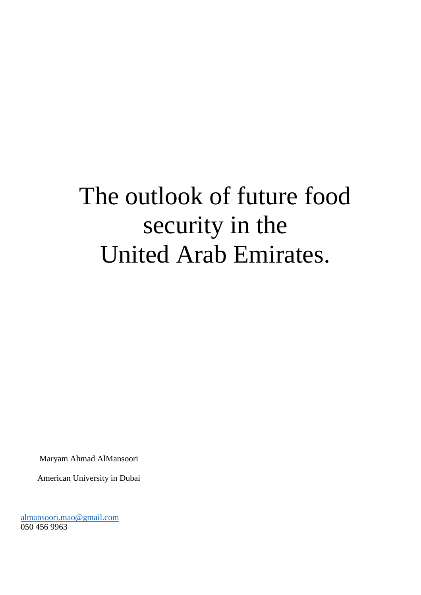# The outlook of future food security in the United Arab Emirates.

Maryam Ahmad AlMansoori

American University in Dubai

[almansoori.mao@gmail.com](mailto:almansoori.mao@gmail.com) 050 456 9963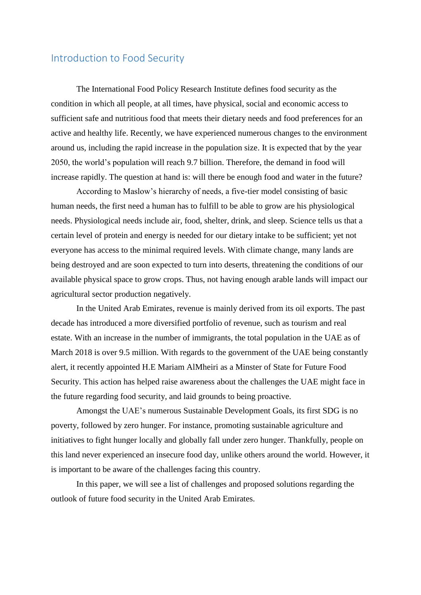### Introduction to Food Security

The International Food Policy Research Institute defines food security as the condition in which all people, at all times, have physical, social and economic access to sufficient safe and nutritious food that meets their dietary needs and food preferences for an active and healthy life. Recently, we have experienced numerous changes to the environment around us, including the rapid increase in the population size. It is expected that by the year 2050, the world's population will reach 9.7 billion. Therefore, the demand in food will increase rapidly. The question at hand is: will there be enough food and water in the future?

According to Maslow's hierarchy of needs, a five-tier model consisting of basic human needs, the first need a human has to fulfill to be able to grow are his physiological needs. Physiological needs include air, food, shelter, drink, and sleep. Science tells us that a certain level of protein and energy is needed for our dietary intake to be sufficient; yet not everyone has access to the minimal required levels. With climate change, many lands are being destroyed and are soon expected to turn into deserts, threatening the conditions of our available physical space to grow crops. Thus, not having enough arable lands will impact our agricultural sector production negatively.

In the United Arab Emirates, revenue is mainly derived from its oil exports. The past decade has introduced a more diversified portfolio of revenue, such as tourism and real estate. With an increase in the number of immigrants, the total population in the UAE as of March 2018 is over 9.5 million. With regards to the government of the UAE being constantly alert, it recently appointed H.E Mariam AlMheiri as a Minster of State for Future Food Security. This action has helped raise awareness about the challenges the UAE might face in the future regarding food security, and laid grounds to being proactive.

Amongst the UAE's numerous Sustainable Development Goals, its first SDG is no poverty, followed by zero hunger. For instance, promoting sustainable agriculture and initiatives to fight hunger locally and globally fall under zero hunger. Thankfully, people on this land never experienced an insecure food day, unlike others around the world. However, it is important to be aware of the challenges facing this country.

In this paper, we will see a list of challenges and proposed solutions regarding the outlook of future food security in the United Arab Emirates.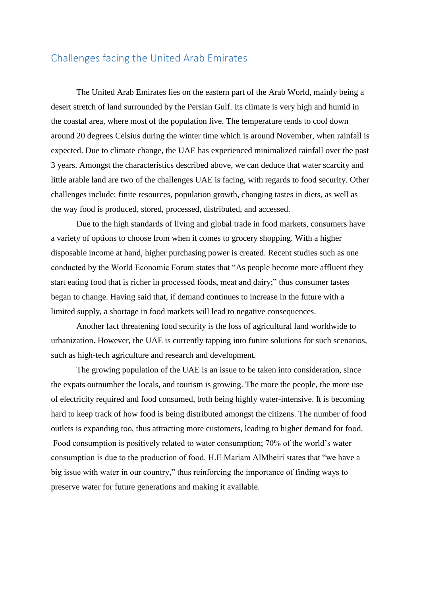# Challenges facing the United Arab Emirates

The United Arab Emirates lies on the eastern part of the Arab World, mainly being a desert stretch of land surrounded by the Persian Gulf. Its climate is very high and humid in the coastal area, where most of the population live. The temperature tends to cool down around 20 degrees Celsius during the winter time which is around November, when rainfall is expected. Due to climate change, the UAE has experienced minimalized rainfall over the past 3 years. Amongst the characteristics described above, we can deduce that water scarcity and little arable land are two of the challenges UAE is facing, with regards to food security. Other challenges include: finite resources, population growth, changing tastes in diets, as well as the way food is produced, stored, processed, distributed, and accessed.

Due to the high standards of living and global trade in food markets, consumers have a variety of options to choose from when it comes to grocery shopping. With a higher disposable income at hand, higher purchasing power is created. Recent studies such as one conducted by the World Economic Forum states that "As people become more affluent they start eating food that is richer in processed foods, meat and dairy;" thus consumer tastes began to change. Having said that, if demand continues to increase in the future with a limited supply, a shortage in food markets will lead to negative consequences.

Another fact threatening food security is the loss of agricultural land worldwide to urbanization. However, the UAE is currently tapping into future solutions for such scenarios, such as high-tech agriculture and research and development.

The growing population of the UAE is an issue to be taken into consideration, since the expats outnumber the locals, and tourism is growing. The more the people, the more use of electricity required and food consumed, both being highly water-intensive. It is becoming hard to keep track of how food is being distributed amongst the citizens. The number of food outlets is expanding too, thus attracting more customers, leading to higher demand for food. Food consumption is positively related to water consumption; 70% of the world's water consumption is due to the production of food. H.E Mariam AlMheiri states that "we have a big issue with water in our country," thus reinforcing the importance of finding ways to preserve water for future generations and making it available.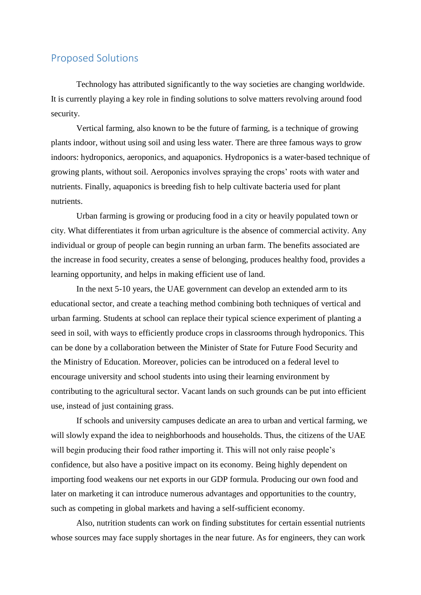## Proposed Solutions

Technology has attributed significantly to the way societies are changing worldwide. It is currently playing a key role in finding solutions to solve matters revolving around food security.

Vertical farming, also known to be the future of farming, is a technique of growing plants indoor, without using soil and using less water. There are three famous ways to grow indoors: hydroponics, aeroponics, and aquaponics. Hydroponics is a water-based technique of growing plants, without soil. Aeroponics involves spraying the crops' roots with water and nutrients. Finally, aquaponics is breeding fish to help cultivate bacteria used for plant nutrients.

Urban farming is growing or producing food in a city or heavily populated town or city. What differentiates it from urban agriculture is the absence of commercial activity. Any individual or group of people can begin running an urban farm. The benefits associated are the increase in food security, creates a sense of belonging, produces healthy food, provides a learning opportunity, and helps in making efficient use of land.

In the next 5-10 years, the UAE government can develop an extended arm to its educational sector, and create a teaching method combining both techniques of vertical and urban farming. Students at school can replace their typical science experiment of planting a seed in soil, with ways to efficiently produce crops in classrooms through hydroponics. This can be done by a collaboration between the Minister of State for Future Food Security and the Ministry of Education. Moreover, policies can be introduced on a federal level to encourage university and school students into using their learning environment by contributing to the agricultural sector. Vacant lands on such grounds can be put into efficient use, instead of just containing grass.

If schools and university campuses dedicate an area to urban and vertical farming, we will slowly expand the idea to neighborhoods and households. Thus, the citizens of the UAE will begin producing their food rather importing it. This will not only raise people's confidence, but also have a positive impact on its economy. Being highly dependent on importing food weakens our net exports in our GDP formula. Producing our own food and later on marketing it can introduce numerous advantages and opportunities to the country, such as competing in global markets and having a self-sufficient economy.

Also, nutrition students can work on finding substitutes for certain essential nutrients whose sources may face supply shortages in the near future. As for engineers, they can work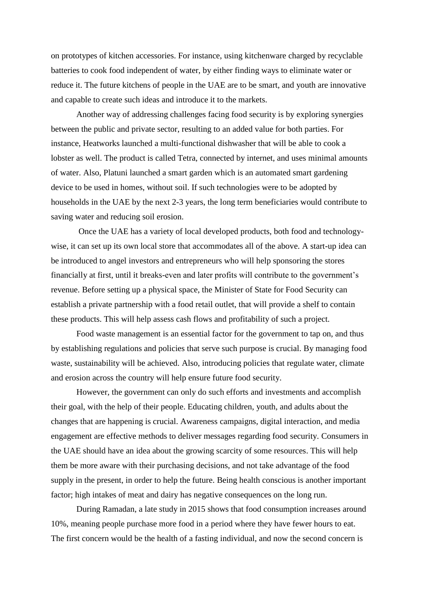on prototypes of kitchen accessories. For instance, using kitchenware charged by recyclable batteries to cook food independent of water, by either finding ways to eliminate water or reduce it. The future kitchens of people in the UAE are to be smart, and youth are innovative and capable to create such ideas and introduce it to the markets.

Another way of addressing challenges facing food security is by exploring synergies between the public and private sector, resulting to an added value for both parties. For instance, Heatworks launched a multi-functional dishwasher that will be able to cook a lobster as well. The product is called Tetra, connected by internet, and uses minimal amounts of water. Also, Platuni launched a smart garden which is an automated smart gardening device to be used in homes, without soil. If such technologies were to be adopted by households in the UAE by the next 2-3 years, the long term beneficiaries would contribute to saving water and reducing soil erosion.

Once the UAE has a variety of local developed products, both food and technologywise, it can set up its own local store that accommodates all of the above. A start-up idea can be introduced to angel investors and entrepreneurs who will help sponsoring the stores financially at first, until it breaks-even and later profits will contribute to the government's revenue. Before setting up a physical space, the Minister of State for Food Security can establish a private partnership with a food retail outlet, that will provide a shelf to contain these products. This will help assess cash flows and profitability of such a project.

Food waste management is an essential factor for the government to tap on, and thus by establishing regulations and policies that serve such purpose is crucial. By managing food waste, sustainability will be achieved. Also, introducing policies that regulate water, climate and erosion across the country will help ensure future food security.

However, the government can only do such efforts and investments and accomplish their goal, with the help of their people. Educating children, youth, and adults about the changes that are happening is crucial. Awareness campaigns, digital interaction, and media engagement are effective methods to deliver messages regarding food security. Consumers in the UAE should have an idea about the growing scarcity of some resources. This will help them be more aware with their purchasing decisions, and not take advantage of the food supply in the present, in order to help the future. Being health conscious is another important factor; high intakes of meat and dairy has negative consequences on the long run.

During Ramadan, a late study in 2015 shows that food consumption increases around 10%, meaning people purchase more food in a period where they have fewer hours to eat. The first concern would be the health of a fasting individual, and now the second concern is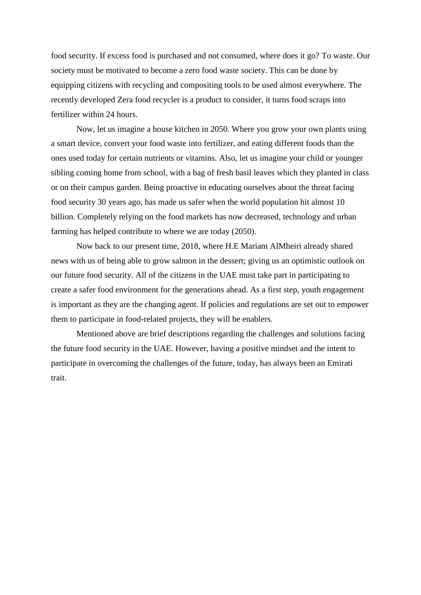food security. If excess food is purchased and not consumed, where does it go? To waste. Our society must be motivated to become a zero food waste society. This can be done by equipping citizens with recycling and compositing tools to be used almost everywhere. The recently developed Zera food recycler is a product to consider, it turns food scraps into fertilizer within 24 hours.

Now, let us imagine a house kitchen in 2050. Where you grow your own plants using a smart device, convert your food waste into fertilizer, and eating different foods than the ones used today for certain nutrients or vitamins. Also, let us imagine your child or younger sibling coming home from school, with a bag of fresh basil leaves which they planted in class or on their campus garden. Being proactive in educating ourselves about the threat facing food security 30 years ago, has made us safer when the world population hit almost 10 billion. Completely relying on the food markets has now decreased, technology and urban farming has helped contribute to where we are today (2050).

Now back to our present time, 2018, where H.E Mariam AlMheiri already shared news with us of being able to grow salmon in the dessert; giving us an optimistic outlook on our future food security. All of the citizens in the UAE must take part in participating to create a safer food environment for the generations ahead. As a first step, youth engagement is important as they are the changing agent. If policies and regulations are set out to empower them to participate in food-related projects, they will be enablers.

Mentioned above are brief descriptions regarding the challenges and solutions facing the future food security in the UAE. However, having a positive mindset and the intent to participate in overcoming the challenges of the future, today, has always been an Emirati trait.